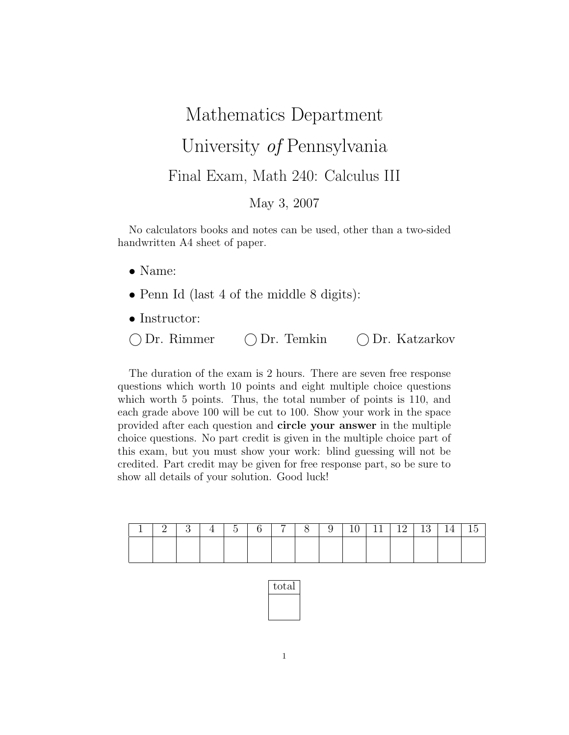## Mathematics Department University of Pennsylvania Final Exam, Math 240: Calculus III

May 3, 2007

No calculators books and notes can be used, other than a two-sided handwritten A4 sheet of paper.

- Name:
- Penn Id (last 4 of the middle 8 digits):
- Instructor:
- ° Dr. Rimmer ° Dr. Temkin ° Dr. Katzarkov

The duration of the exam is 2 hours. There are seven free response questions which worth 10 points and eight multiple choice questions which worth 5 points. Thus, the total number of points is 110, and each grade above 100 will be cut to 100. Show your work in the space provided after each question and circle your answer in the multiple choice questions. No part credit is given in the multiple choice part of this exam, but you must show your work: blind guessing will not be credited. Part credit may be given for free response part, so be sure to show all details of your solution. Good luck!

|  |  |  | Х. |  |  |  |  |
|--|--|--|----|--|--|--|--|
|  |  |  |    |  |  |  |  |

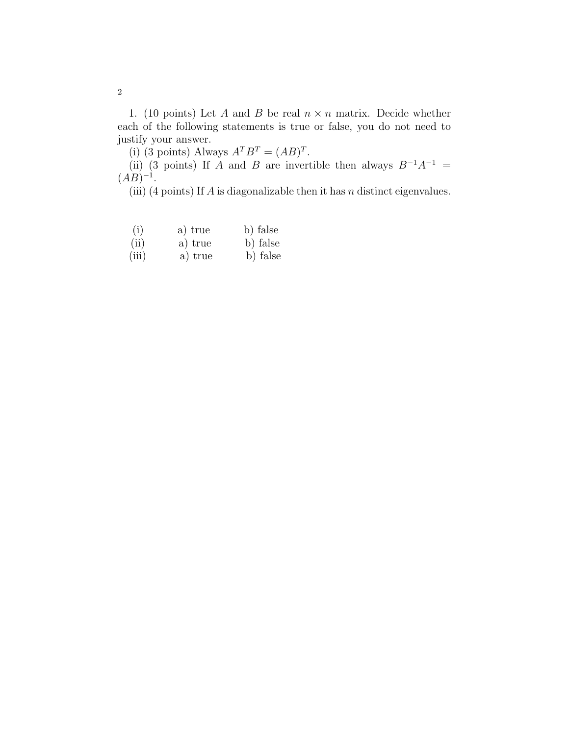1. (10 points) Let A and B be real  $n \times n$  matrix. Decide whether each of the following statements is true or false, you do not need to justify your answer.

(i) (3 points) Always  $A^T B^T = (AB)^T$ .

(ii) (3 points) If A and B are invertible then always  $B^{-1}A^{-1} =$  $(AB)^{-1}$ .

(iii) (4 points) If  $A$  is diagonalizable then it has  $n$  distinct eigenvalues.

| (i)   | a) true | b) false |
|-------|---------|----------|
| (ii)  | a) true | b) false |
| (iii) | a) true | b) false |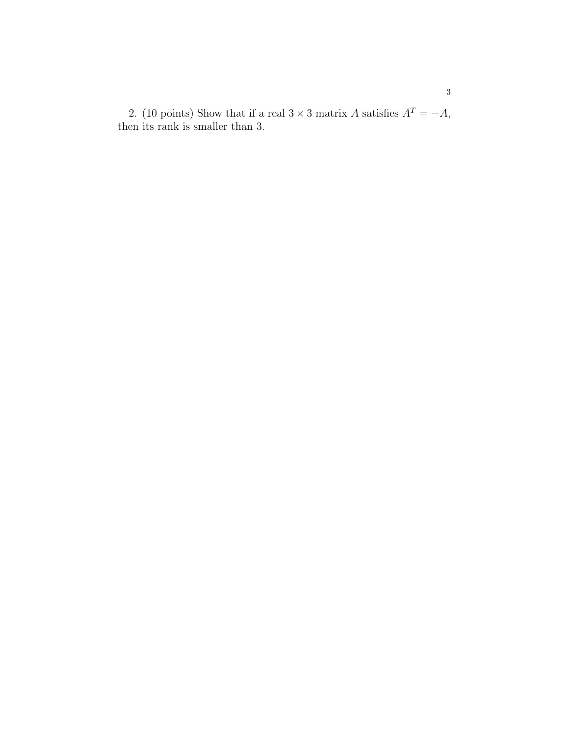2. (10 points) Show that if a real  $3 \times 3$  matrix A satisfies  $A^T = -A$ , then its rank is smaller than 3.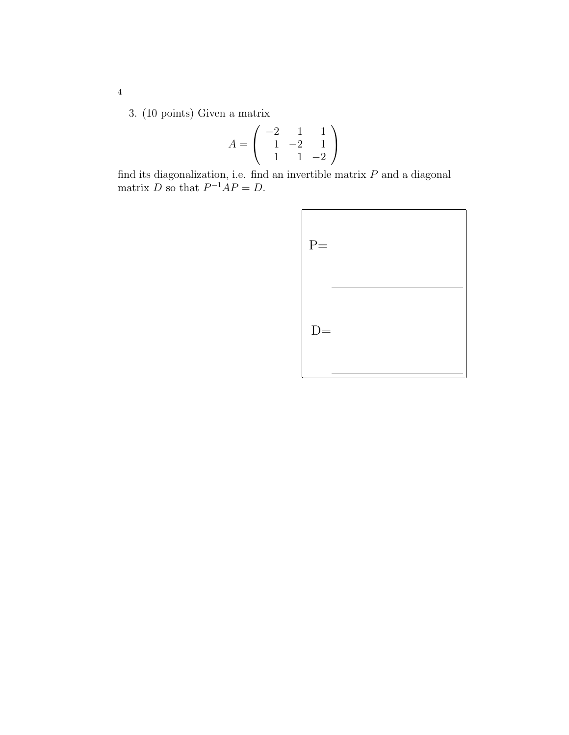3. (10 points) Given a matrix

$$
A = \begin{pmatrix} -2 & 1 & 1 \\ 1 & -2 & 1 \\ 1 & 1 & -2 \end{pmatrix}
$$

find its diagonalization, i.e. find an invertible matrix  $P$  and a diagonal matrix D so that  $P^{-1}AP = D$ .

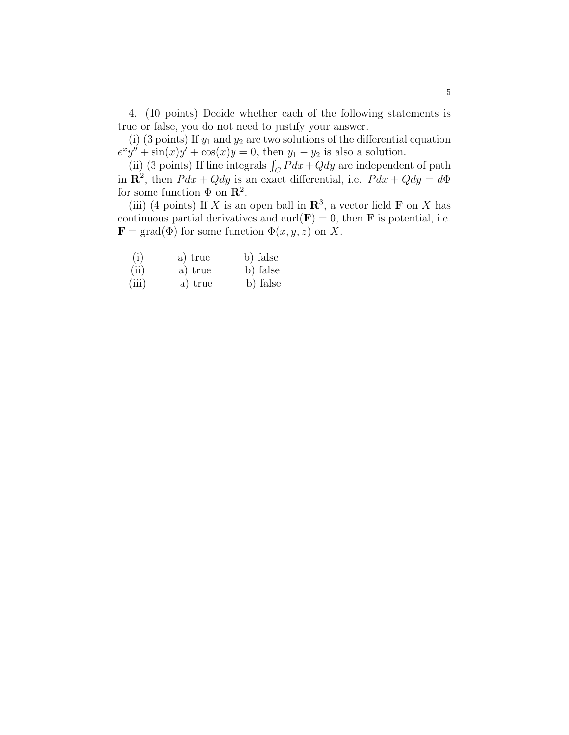4. (10 points) Decide whether each of the following statements is true or false, you do not need to justify your answer.

(i) (3 points) If  $y_1$  and  $y_2$  are two solutions of the differential equation  $e^x y'' + \sin(x) y' + \cos(x) y = 0$ , then  $y_1 - y_2$  is also a solution.

 $(y'' + \sin(x)y' + \cos(x)y = 0$ , then  $y_1 - y_2$  is also a solution.<br>
(ii) (3 points) If line integrals  $\int_C P dx + Q dy$  are independent of path in  $\mathbb{R}^2$ , then  $P dx + Q dy$  is an exact differential, i.e.  $P dx + Q dy = d\Phi$ for some function  $\Phi$  on  $\mathbb{R}^2$ .

(iii) (4 points) If X is an open ball in  $\mathbb{R}^3$ , a vector field **F** on X has continuous partial derivatives and curl( $\mathbf{F}$ ) = 0, then **F** is potential, i.e.  $$ 

| (i)    | a) true                            | b) false                                            |
|--------|------------------------------------|-----------------------------------------------------|
| (ii)   | a) true                            | b) false                                            |
| (:::') | $\sim$ $\lambda$ $+$ $\sim$ $\sim$ | $\mathbb{L}$ $\mathbb{L}$ $\mathbb{L}$ $\mathbb{L}$ |

(iii) a) true b) false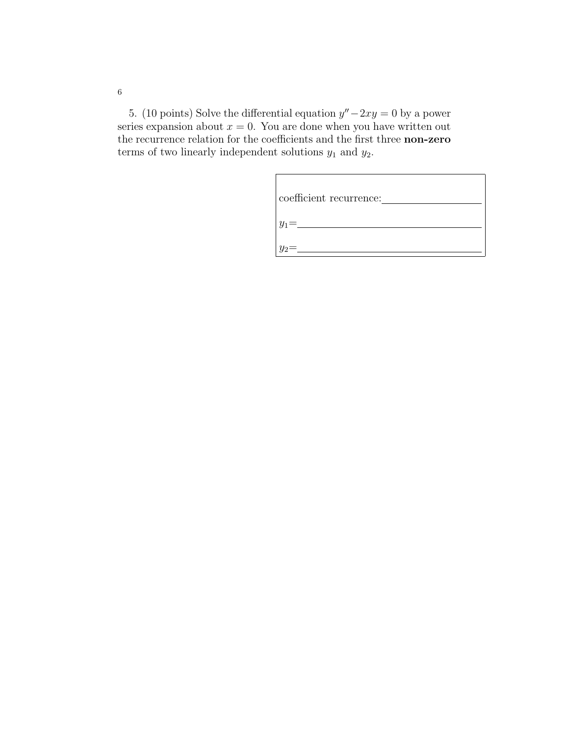5. (10 points) Solve the differential equation  $y'' - 2xy = 0$  by a power series expansion about  $x = 0$ . You are done when you have written out the recurrence relation for the coefficients and the first three non-zero terms of two linearly independent solutions  $y_1$  and  $y_2$ .

| coefficient recurrence: |
|-------------------------|
| =                       |
|                         |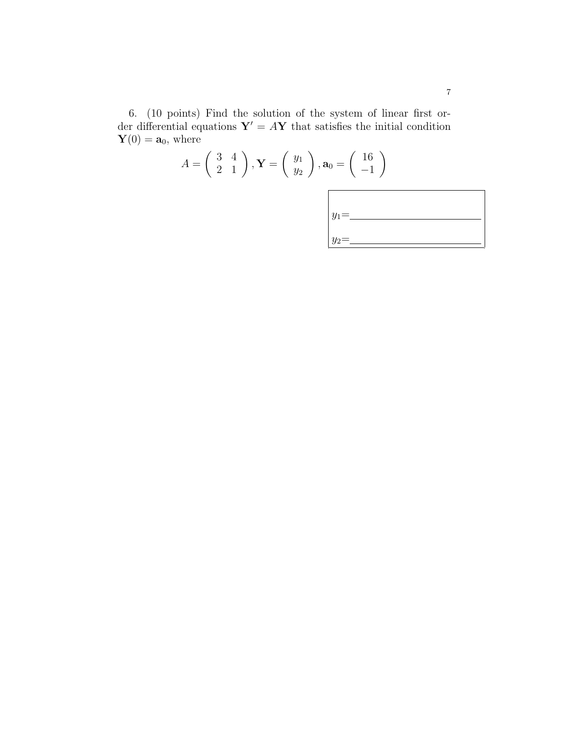6. (10 points) Find the solution of the system of linear first order differential equations  $Y' = AY$  that satisfies the initial condition  $\mathbf{Y}(0) = \mathbf{a}_0$ , where

$$
A = \begin{pmatrix} 3 & 4 \\ 2 & 1 \end{pmatrix}, \mathbf{Y} = \begin{pmatrix} y_1 \\ y_2 \end{pmatrix}, \mathbf{a}_0 = \begin{pmatrix} 16 \\ -1 \end{pmatrix}
$$

$$
y_1 = \underline{\hspace{1cm}}
$$

$$
y_2 = \underline{\hspace{1cm}}
$$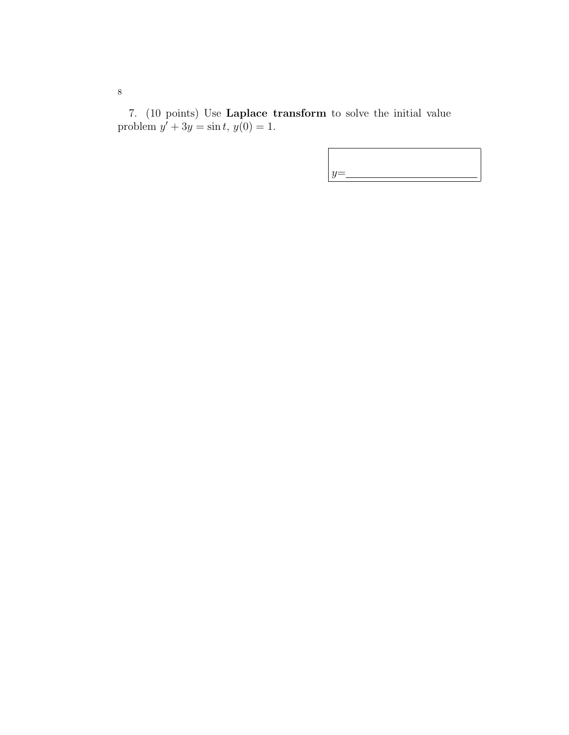7. (10 points) Use Laplace transform to solve the initial value problem  $y' + 3y = \sin t, y(0) = 1.$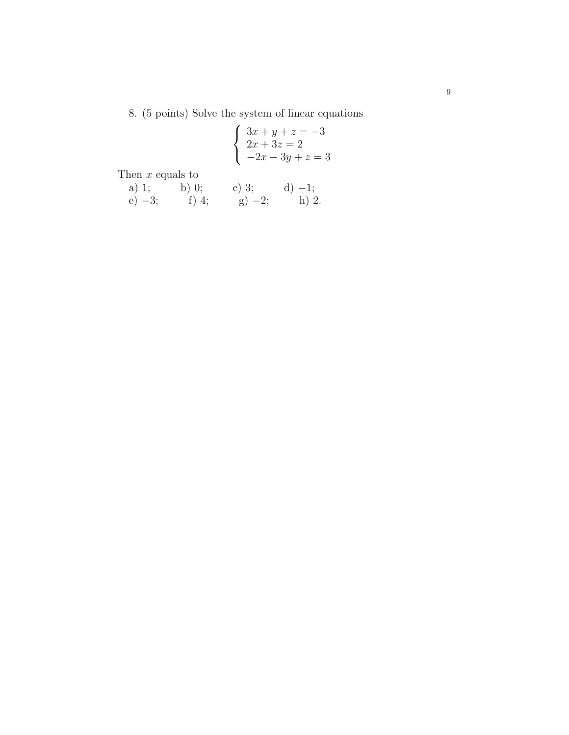8. (5 points) Solve the system of linear equations

$$
\begin{cases}\n3x + y + z = -3 \\
2x + 3z = 2 \\
-2x - 3y + z = 3\n\end{cases}
$$

Then  $x$  equals to

| a) 1;     | b) $0;$ | c) 3;     | $d) -1;$ |
|-----------|---------|-----------|----------|
| $(e) -3;$ | f) 4;   | $(g) -2;$ | $h)$ 2.  |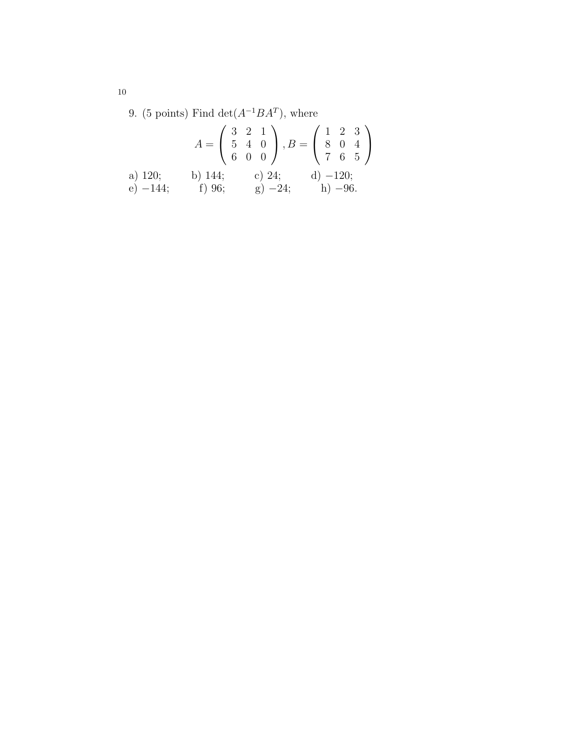9. (5 points) Find det $(A^{-1}BA^T)$ , where

a) 120;  
\nb) 144;  
\nc) 24;  
\nd) -120;  
\ne) -144;  
\nf) 96;  
\n
$$
B = \begin{pmatrix} 1 & 2 & 3 \\ 8 & 0 & 4 \\ 7 & 6 & 5 \end{pmatrix}
$$
  
\na) 120;  
\nb) 144;  
\nc) 24;  
\nd) -120;  
\nh) -96.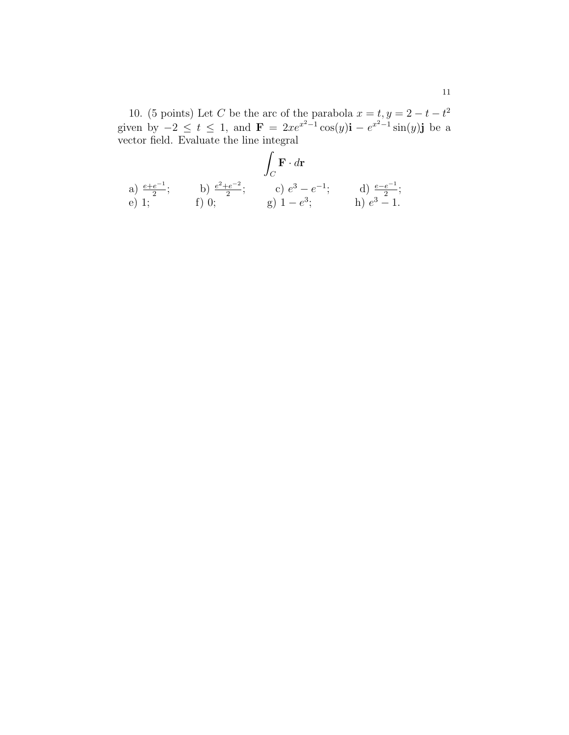10. (5 points) Let C be the arc of the parabola  $x = t, y = 2 - t - t^2$ given by  $-2 \le t \le 1$ , and  $\mathbf{F} = 2xe^{x^2-1}\cos(y)\mathbf{i} - e^{x^2-1}\sin(y)\mathbf{j}$  be a vector field. Evaluate the line integral  $\ddot{\phantom{0}}$ 

a) 
$$
\frac{e+e^{-1}}{2}
$$
; b)  $\frac{e^{2}+e^{-2}}{2}$ ; c)  $e^{3}-e^{-1}$ ; d)  $\frac{e-e^{-1}}{2}$ ;  
e) 1; f) 0; g)  $1-e^{3}$ ; h)  $e^{3}-1$ .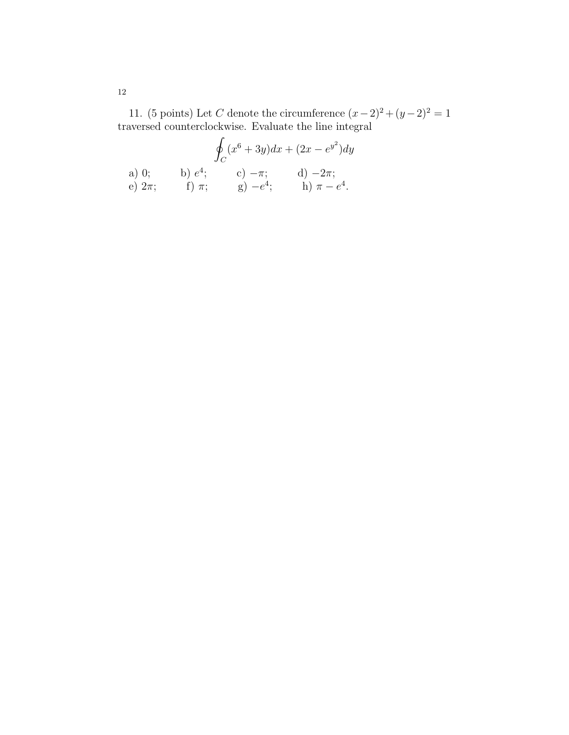11. (5 points) Let C denote the circumference  $(x-2)^2 + (y-2)^2 = 1$ traversed counterclockwise. Evaluate the line integral  $\overline{a}$ 

a) 0;  
\nb) 
$$
e^4
$$
;  
\nc)  $-\pi$ ;  
\nd)  $-2\pi$ ;  
\ne)  $2\pi$ ;  
\nf)  $\pi$ ;  
\ng)  $-e^4$ ;  
\nh)  $\pi - e^4$ .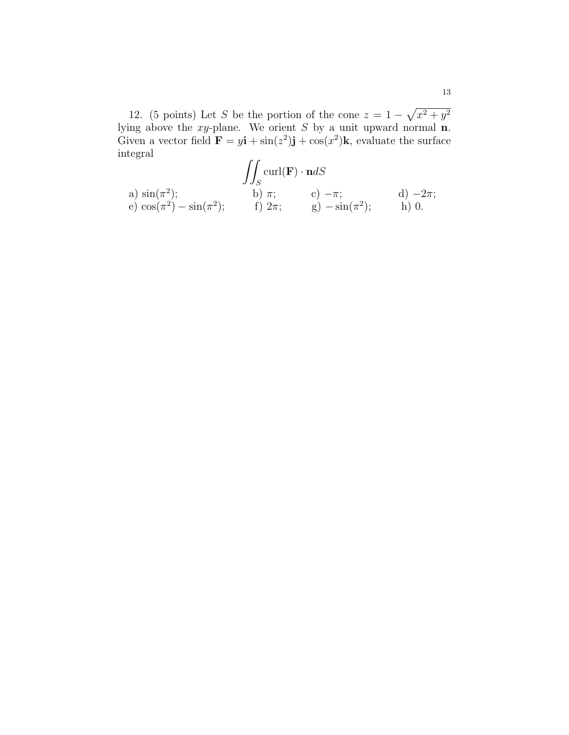12. (5 points) Let S be the portion of the cone  $z = 1$ p  $x^2+y^2$ lying above the xy-plane. We orient  $S$  by a unit upward normal  $n$ . Given a vector field  $\mathbf{F} = y\mathbf{i} + \sin(z^2)\mathbf{j} + \cos(x^2)\mathbf{k}$ , evaluate the surface integral  $\overline{a}$ 

$$
\iint_{S} \text{curl}(\mathbf{F}) \cdot \mathbf{n} dS
$$
\na)  $\sin(\pi^2)$ ;\nb)  $\pi$ ;\nc)  $-\pi$ ;\nd)  $-2\pi$ ;\ne)  $\cos(\pi^2) - \sin(\pi^2)$ ;\nf)  $2\pi$ ;\ng)  $-\sin(\pi^2)$ ;\nh) 0.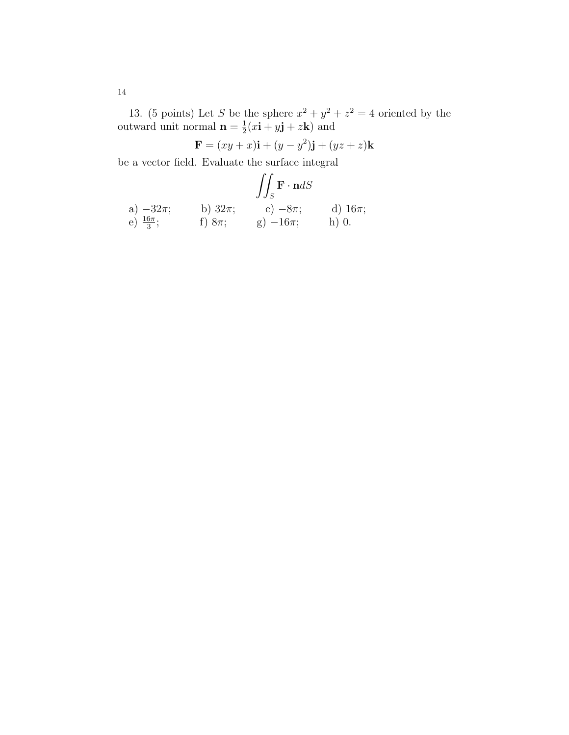13. (5 points) Let S be the sphere  $x^2 + y^2 + z^2 = 4$  oriented by the outward unit normal  $\mathbf{n} = \frac{1}{2}$  $\frac{1}{2}(x\mathbf{i}+y\mathbf{j}+z\mathbf{k})$  and

$$
\mathbf{F} = (xy + x)\mathbf{i} + (y - y^2)\mathbf{j} + (yz + z)\mathbf{k}
$$

be a vector field. Evaluate the surface integral

$$
\iint_{S} \mathbf{F} \cdot \mathbf{n} dS
$$
\na) -32 $\pi$ ;\nb) 32 $\pi$ ;\nc) -8 $\pi$ ;\nd) 16 $\pi$ ;\ne)  $\frac{16\pi}{3}$ ;\nf) 8 $\pi$ ;\ng) -16 $\pi$ ;\nh) 0.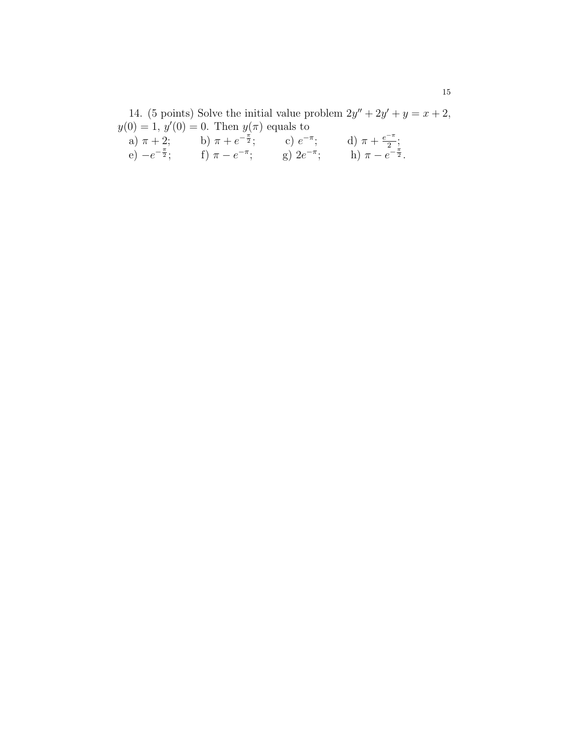14. (5 points) Solve the initial value problem  $2y'' + 2y' + y = x + 2$ ,  $y(0) = 1, y'(0) = 0.$  Then  $y(\pi)$  equals to

a)  $\pi + 2$ ; b)  $\pi + e^{-\frac{\pi}{2}}$ ; c)  $e^{-\pi}$ ; d)  $\pi + \frac{e^{-\pi}}{2}$  $\frac{-\pi}{2};$ e)  $-e^{-\frac{\pi}{2}}$ ; f)  $\pi - e^{-\pi}$ ; g)  $2e^{-\pi}$ ; h)  $\pi - e^{-\frac{\pi}{2}}$ .